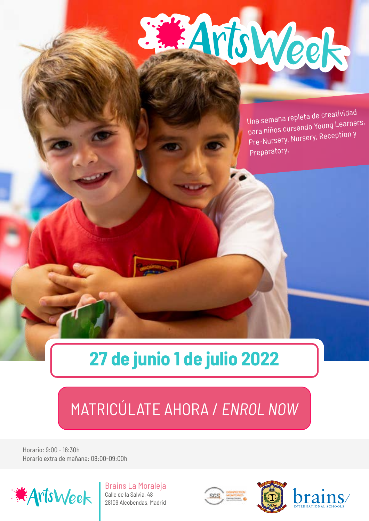# Moweek

Una semana repleta de creatividad para niños cursando Young Learners, Pre-Nursery, Nursery, Reception y Preparatory.

### **27 de junio 1 de julio 2022**

### [MATRICÚLATE AHORA /](https://store.colegiobrains.com) *ENROL NOW*

Horario: 9:00 - 16:30h Horario extra de mañana: 08:00-09:00h



Brains La Moraleja Calle de la Salvia, 48 28109 Alcobendas, Madrid



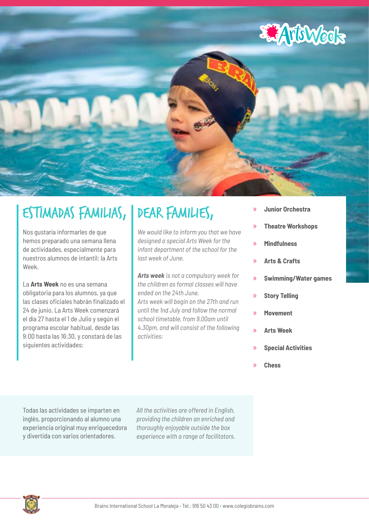

### Estimadas Familias,

Nos gustaría informarles de que hemos preparado una semana llena de actividades, especialmente para nuestros alumnos de intantil: la Arts Week.

La **Arts Week** no es una semana obligatoria para los alumnos, ya que las clases oficiales habrán finalizado el 24 de junio. La Arts Week comenzará el día 27 hasta el 1 de Julio y según el programa escolar habitual, desde las 9:00 hasta las 16:30, y constará de las siguientes actividades:

### Dear Families,

*We would like to inform you that we have designed a special Arts Week for the infant department of the school for the last week of June.*

*Arts week is not a compulsory week for the children as formal classes will have ended on the 24th June. Arts week will begin on the 27th and run until the 1nd July and follow the normal school timetable, from 9.00am until 4.30pm, and will consist of the following activities:*

- » **Junior Orchestra**
- » **Theatre Workshops**
- » **Mindfulness**
- » **Arts & Crafts**
- » **Swimming/Water games**
- » **Story Telling**
- » **Movement**
- » **Arts Week**
- » **Special Activities**
- » **Chess**

Todas las actividades se imparten en inglés, proporcionando al alumno una experiencia original muy enriquecedora y divertida con varios orientadores.

*All the activities are offered in English, providing the children an enriched and thoroughly enjoyable outside the box experience with a range of facilitators.*

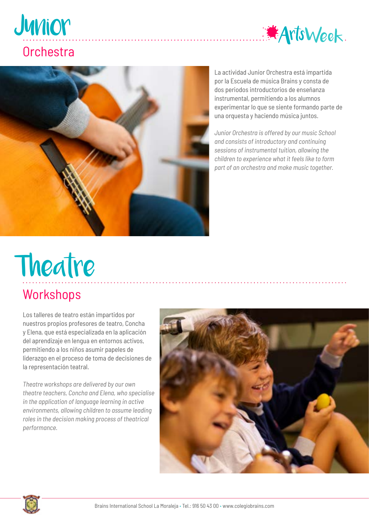

# Junior

#### **Orchestra**



La actividad Junior Orchestra está impartida por la Escuela de música Brains y consta de dos periodos introductorios de enseñanza instrumental, permitiendo a los alumnos experimentar lo que se siente formando parte de una orquesta y haciendo música juntos.

*Junior Orchestra is offered by our music School and consists of introductory and continuing sessions of instrumental tuition, allowing the children to experience what it feels like to form part of an orchestra and make music together.*

# Theatre

#### **Workshops**

Los talleres de teatro están impartidos por nuestros propios profesores de teatro, Concha y Elena, que está especializada en la aplicación del aprendizaje en lengua en entornos activos, permitiendo a los niños asumir papeles de liderazgo en el proceso de toma de decisiones de la representación teatral.

*Theatre workshops are delivered by our own theatre teachers, Concha and Elena, who specialise in the application of language learning in active environments, allowing children to assume leading roles in the decision making process of theatrical performance.*



. . . . . . . . . . . . . . . .

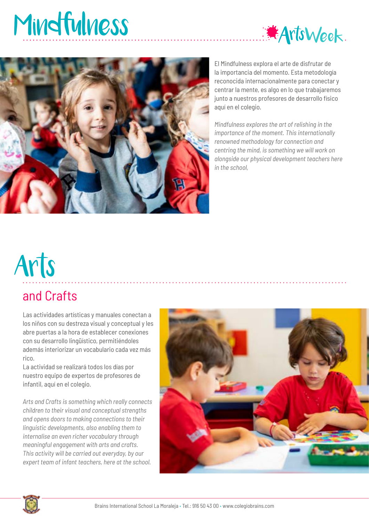### Mindfulness





El Mindfulness explora el arte de disfrutar de la importancia del momento. Esta metodología reconocida internacionalmente para conectar y centrar la mente, es algo en lo que trabajaremos junto a nuestros profesores de desarrollo físico aquí en el colegio.

*Mindfulness explores the art of relishing in the importance of the moment. This internationally renowned methodology for connection and centring the mind, is something we will work on alongside our physical development teachers here in the school,*

# Arts

#### and Crafts

Las actividades artísticas y manuales conectan a los niños con su destreza visual y conceptual y les abre puertas a la hora de establecer conexiones con su desarrollo lingüístico, permitiéndoles además interiorizar un vocabulario cada vez más rico.

La actividad se realizará todos los días por nuestro equipo de expertos de profesores de infantil, aquí en el colegio.

*Arts and Crafts is something which really connects children to their visual and conceptual strengths and opens doors to making connections to their linguistic developments, also enabling them to internalise an even richer vocabulary through meaningful engagement with arts and crafts. This activity will be carried out everyday, by our expert team of infant teachers, here at the school.*



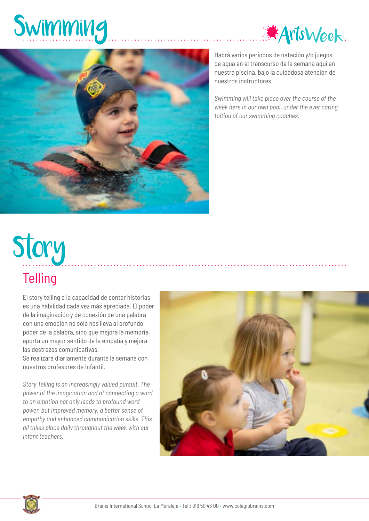





Habrá varios periodos de natación y/o juegos de agua en el transcurso de la semana aquí en nuestra piscina, bajo la cuidadosa atención de nuestros instructores.

*Swimming will take place over the course of the week here in our own pool, under the ever caring tuition of our swimming coaches.*

# **Story**

#### **Telling**

El story telling o la capacidad de contar historias es una habilidad cada vez más apreciada. El poder de la imaginación y de conexión de una palabra con una emoción no solo nos lleva al profundo poder de la palabra, sino que mejora la memoria, aporta un mayor sentido de la empatía y mejora las destrezas comunicativas.

Se realizará diariamente durante la semana con nuestros profesores de infantil.

*Story Telling is an increasingly valued pursuit. The power of the imagination and of connecting a word to an emotion not only leads to profound word power, but improved memory, a better sense of empathy and enhanced communication skills. This all takes place daily throughout the week with our infant teachers.*



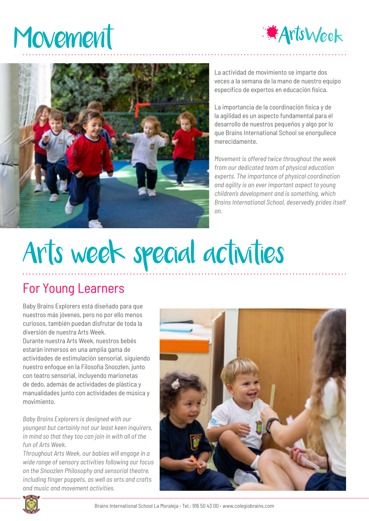### Movement





La actividad de movimiento se imparte dos veces a la semana de la mano de nuestro equipo específico de expertos en educación física.

La importancia de la coordinación física y de la agilidad es un aspecto fundamental para el desarrollo de nuestros pequeños y algo por lo que Brains International School se enorgullece merecidamente.

*Movement is offered twice throughout the week from our dedicated team of physical education experts. The importance of physical coordination and agility is an ever important aspect to young children's development and is something, which Brains International School, deservedly prides itself on.*

## Arts week special activities

#### For Young Learners

Baby Brains Explorers está diseñado para que nuestros más jóvenes, pero no por ello menos curiosos, también puedan disfrutar de toda la diversión de nuestra Arts Week.

Durante nuestra Arts Week, nuestros bebés estarán inmersos en una amplia gama de actividades de estimulación sensorial, siguiendo nuestro enfoque en la Filosofía Snoozlen, junto con teatro sensorial, incluyendo marionetas de dedo, además de actividades de plástica y manualidades junto con actividades de música y movimiento.

*Baby Brains Explorers is designed with our youngest but certainly not our least keen inquirers, in mind so that they too can join in with all of the fun of Arts Week.*

*Throughout Arts Week, our babies will engage in a wide range of sensory activities following our focus on the Snoozlen Philosophy and sensorial theatre, including finger puppets, as well as arts and crafts and music and movement activities.* 



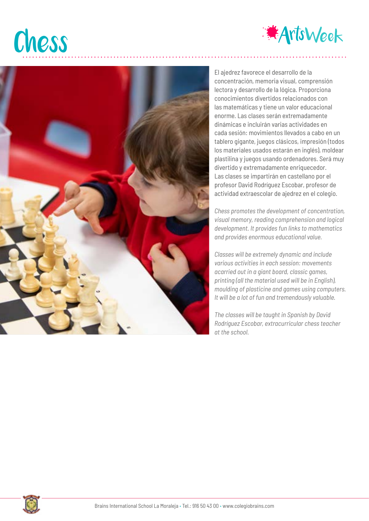### Chess





El ajedrez favorece el desarrollo de la concentración, memoria visual, comprensión lectora y desarrollo de la lógica. Proporciona conocimientos divertidos relacionados con las matemáticas y tiene un valor educacional enorme. Las clases serán extremadamente dinámicas e incluirán varias actividades en cada sesión: movimientos llevados a cabo en un tablero gigante, juegos clásicos, impresión (todos los materiales usados estarán en inglés), moldear plastilina y juegos usando ordenadores. Será muy divertido y extremadamente enriquecedor. Las clases se impartirán en castellano por el profesor David Rodríguez Escobar, profesor de actividad extraescolar de ajedrez en el colegio.

*Chess promotes the development of concentration, visual memory, reading comprehension and logical development. It provides fun links to mathematics and provides enormous educational value.* 

*Classes will be extremely dynamic and include various activities in each session: movements acarried out in a giant board, classic games, printing (all the material used will be in English), moulding of plasticine and games using computers. It will be a lot of fun and tremendously valuable.* 

*The classes will be taught in Spanish by David Rodríguez Escobar, extracurricular chess teacher at the school.*